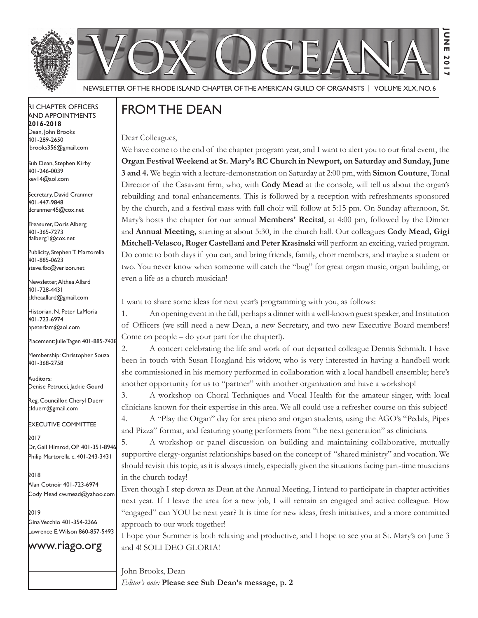



**June 2017**

2017

**JUNE** 

Newsletter of the Rhode Island Chapter of the American Guild of OrganistS | Volume XLX, No. 6

#### RI Chapter Officers and Appointments **2016-2018** Dean, John Brooks 401-289-2650 jbrooks356@gmail.com

Sub Dean, Stephen Kirby 401-246-0039 kev14@aol.com

Secretary, David Cranmer 401-447-9848 dcranmer45@cox.net

Treasurer, Doris Alberg 401-365-7273 dalberg1@cox.net

I Publicity, Stephen T. Martorella 401-885-0623 steve.fbc@verizon.net

Newsletter, Althea Allard 401-728-4431 altheaallard@gmail.com

Historian, N. Peter LaMoria 401-723-6974 npeterlam@aol.com

Placement: Julie Tagen 401-885-7438

Membership: Christopher Souza 401-368-2758

Auditors: Denise Petrucci, Jackie Gourd

Reg. Councillor, Cheryl Duerr clduerr@gmail.com

Executive Committee

2017 Dr, Gail Himrod, OP 401-351-8946 Philip Martorella c. 401-243-3431

2018 Alan Cotnoir 401-723-6974 Cody Mead cw.mead@yahoo.com

2019 Gina Vecchio 401-354-2366 Lawrence E. Wilson 860-857-5493

#### www.riago.org

## From the Dean

Dear Colleagues,

We have come to the end of the chapter program year, and I want to alert you to our final event, the **Organ Festival Weekend at St. Mary's RC Church in Newport, on Saturday and Sunday, June 3 and 4.** We begin with a lecture-demonstration on Saturday at 2:00 pm, with **Simon Couture**, Tonal Director of the Casavant firm, who, with **Cody Mead** at the console, will tell us about the organ's rebuilding and tonal enhancements. This is followed by a reception with refreshments sponsored by the church, and a festival mass with full choir will follow at 5:15 pm. On Sunday afternoon, St. Mary's hosts the chapter for our annual **Members' Recital**, at 4:00 pm, followed by the Dinner and **Annual Meeting,** starting at about 5:30, in the church hall. Our colleagues **Cody Mead, Gigi Mitchell-Velasco, Roger Castellani and Peter Krasinski** will perform an exciting, varied program. Do come to both days if you can, and bring friends, family, choir members, and maybe a student or two. You never know when someone will catch the "bug" for great organ music, organ building, or even a life as a church musician!

I want to share some ideas for next year's programming with you, as follows:

1. An opening event in the fall, perhaps a dinner with a well-known guest speaker, and Institution of Officers (we still need a new Dean, a new Secretary, and two new Executive Board members! Come on people – do your part for the chapter!).

2. A concert celebrating the life and work of our departed colleague Dennis Schmidt. I have been in touch with Susan Hoagland his widow, who is very interested in having a handbell work she commissioned in his memory performed in collaboration with a local handbell ensemble; here's another opportunity for us to "partner" with another organization and have a workshop!

3. A workshop on Choral Techniques and Vocal Health for the amateur singer, with local clinicians known for their expertise in this area. We all could use a refresher course on this subject!

4. A "Play the Organ" day for area piano and organ students, using the AGO's "Pedals, Pipes and Pizza" format, and featuring young performers from "the next generation" as clinicians.

5. A workshop or panel discussion on building and maintaining collaborative, mutually supportive clergy-organist relationships based on the concept of "shared ministry" and vocation. We should revisit this topic, as it is always timely, especially given the situations facing part-time musicians in the church today!

Even though I step down as Dean at the Annual Meeting, I intend to participate in chapter activities next year. If I leave the area for a new job, I will remain an engaged and active colleague. How "engaged" can YOU be next year? It is time for new ideas, fresh initiatives, and a more committed approach to our work together!

I hope your Summer is both relaxing and productive, and I hope to see you at St. Mary's on June 3 and 4! SOLI DEO GLORIA!

John Brooks, Dean *Editor's note:* **Please see Sub Dean's message, p. 2**